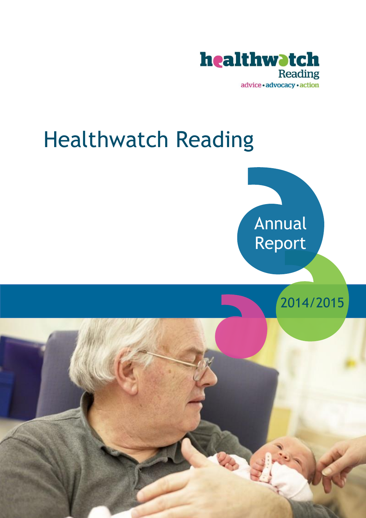

# Healthwatch Reading



2014/2015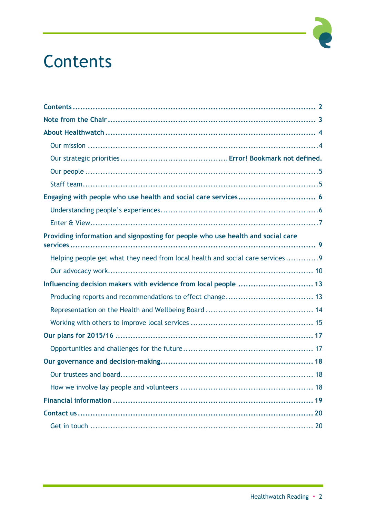## Contents

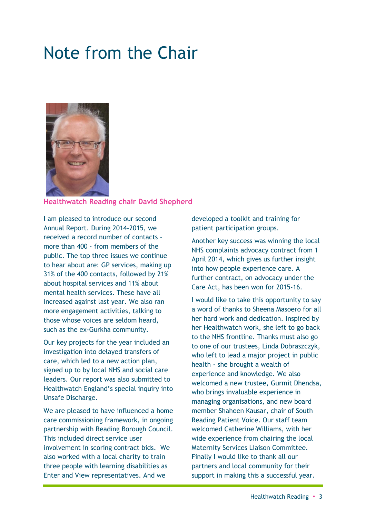### Note from the Chair



#### **Healthwatch Reading chair David Shepherd**

I am pleased to introduce our second Annual Report. During 2014-2015, we received a record number of contacts – more than 400 - from members of the public. The top three issues we continue to hear about are: GP services, making up 31% of the 400 contacts, followed by 21% about hospital services and 11% about mental health services. These have all increased against last year. We also ran more engagement activities, talking to those whose voices are seldom heard, such as the ex-Gurkha community.

Our key projects for the year included an investigation into delayed transfers of care, which led to a new action plan, signed up to by local NHS and social care leaders. Our report was also submitted to Healthwatch England's special inquiry into Unsafe Discharge.

We are pleased to have influenced a home care commissioning framework, in ongoing partnership with Reading Borough Council. This included direct service user involvement in scoring contract bids. We also worked with a local charity to train three people with learning disabilities as Enter and View representatives. And we

developed a toolkit and training for patient participation groups.

Another key success was winning the local NHS complaints advocacy contract from 1 April 2014, which gives us further insight into how people experience care. A further contract, on advocacy under the Care Act, has been won for 2015-16.

I would like to take this opportunity to say a word of thanks to Sheena Masoero for all her hard work and dedication. Inspired by her Healthwatch work, she left to go back to the NHS frontline. Thanks must also go to one of our trustees, Linda Dobraszczyk, who left to lead a major project in public health - she brought a wealth of experience and knowledge. We also welcomed a new trustee, Gurmit Dhendsa, who brings invaluable experience in managing organisations, and new board member Shaheen Kausar, chair of South Reading Patient Voice. Our staff team welcomed Catherine Williams, with her wide experience from chairing the local Maternity Services Liaison Committee. Finally I would like to thank all our partners and local community for their support in making this a successful year.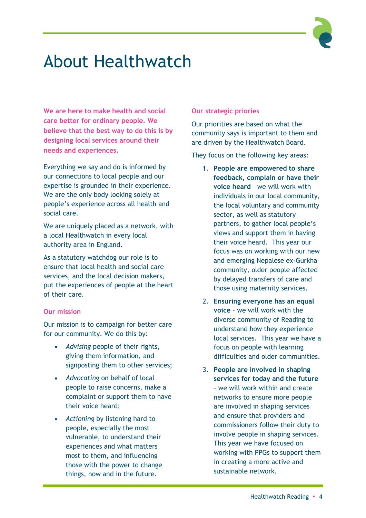

### About Healthwatch

**We are here to make health and social care better for ordinary people. We believe that the best way to do this is by designing local services around their needs and experiences.** 

Everything we say and do is informed by our connections to local people and our expertise is grounded in their experience. We are the only body looking solely at people's experience across all health and social care.

We are uniquely placed as a network, with a local Healthwatch in every local authority area in England.

As a statutory watchdog our role is to ensure that local health and social care services, and the local decision makers, put the experiences of people at the heart of their care.

#### **Our mission**

Our mission is to campaign for better care for our community. We do this by:

- *Advising* people of their rights, giving them information, and signposting them to other services;
- *Advocating* on behalf of local people to raise concerns, make a complaint or support them to have their voice heard;
- *Actioning* by listening hard to people, especially the most vulnerable, to understand their experiences and what matters most to them, and influencing those with the power to change things, now and in the future.

#### **Our strategic priories**

Our priorities are based on what the community says is important to them and are driven by the Healthwatch Board.

They focus on the following key areas:

- 1. **People are empowered to share feedback, complain or have their voice heard** – we will work with individuals in our local community, the local voluntary and community sector, as well as statutory partners, to gather local people's views and support them in having their voice heard. This year our focus was on working with our new and emerging Nepalese ex-Gurkha community, older people affected by delayed transfers of care and those using maternity services.
- 2. **Ensuring everyone has an equal voice** – we will work with the diverse community of Reading to understand how they experience local services. This year we have a focus on people with learning difficulties and older communities.
- 3. **People are involved in shaping services for today and the future** – we will work within and create networks to ensure more people are involved in shaping services and ensure that providers and commissioners follow their duty to involve people in shaping services. This year we have focused on working with PPGs to support them in creating a more active and sustainable network.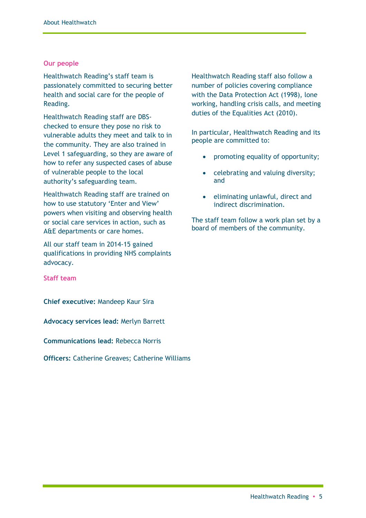#### **Our people**

Healthwatch Reading's staff team is passionately committed to securing better health and social care for the people of Reading.

Healthwatch Reading staff are DBSchecked to ensure they pose no risk to vulnerable adults they meet and talk to in the community. They are also trained in Level 1 safeguarding, so they are aware of how to refer any suspected cases of abuse of vulnerable people to the local authority's safeguarding team.

Healthwatch Reading staff are trained on how to use statutory 'Enter and View' powers when visiting and observing health or social care services in action, such as A&E departments or care homes.

All our staff team in 2014-15 gained qualifications in providing NHS complaints advocacy.

**Staff team**

**Chief executive:** Mandeep Kaur Sira

**Advocacy services lead:** Merlyn Barrett

**Communications lead:** Rebecca Norris

**Officers:** Catherine Greaves; Catherine Williams

Healthwatch Reading staff also follow a number of policies covering compliance with the Data Protection Act (1998), lone working, handling crisis calls, and meeting duties of the Equalities Act (2010).

In particular, Healthwatch Reading and its people are committed to:

- promoting equality of opportunity;
- celebrating and valuing diversity; and
- eliminating unlawful, direct and indirect discrimination.

The staff team follow a work plan set by a board of members of the community.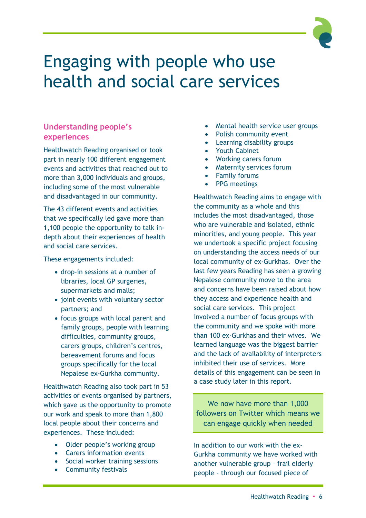### Engaging with people who use health and social care services

#### **Understanding people's experiences**

Healthwatch Reading organised or took part in nearly 100 different engagement events and activities that reached out to more than 3,000 individuals and groups, including some of the most vulnerable and disadvantaged in our community.

The 43 different events and activities that we specifically led gave more than 1,100 people the opportunity to talk indepth about their experiences of health and social care services.

These engagements included:

- drop-in sessions at a number of libraries, local GP surgeries, supermarkets and malls;
- joint events with voluntary sector partners; and
- focus groups with local parent and family groups, people with learning difficulties, community groups, carers groups, children's centres, bereavement forums and focus groups specifically for the local Nepalese ex-Gurkha community.

Healthwatch Reading also took part in 53 activities or events organised by partners, which gave us the opportunity to promote our work and speak to more than 1,800 local people about their concerns and experiences. These included:

- Older people's working group
- Carers information events
- Social worker training sessions
- Community festivals
- Mental health service user groups
- Polish community event
- Learning disability groups
- Youth Cabinet
- Working carers forum
- Maternity services forum
- Family forums
- PPG meetings

Healthwatch Reading aims to engage with the community as a whole and this includes the most disadvantaged, those who are vulnerable and isolated, ethnic minorities, and young people. This year we undertook a specific project focusing on understanding the access needs of our local community of ex-Gurkhas. Over the last few years Reading has seen a growing Nepalese community move to the area and concerns have been raised about how they access and experience health and social care services. This project involved a number of focus groups with the community and we spoke with more than 100 ex-Gurkhas and their wives. We learned language was the biggest barrier and the lack of availability of interpreters inhibited their use of services. More details of this engagement can be seen in a case study later in this report.

We now have more than 1,000 followers on Twitter which means we can engage quickly when needed

In addition to our work with the ex-Gurkha community we have worked with another vulnerable group – frail elderly people - through our focused piece of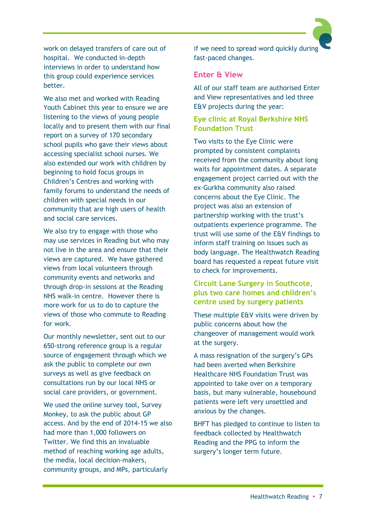work on delayed transfers of care out of hospital. We conducted in-depth interviews in order to understand how this group could experience services better.

We also met and worked with Reading Youth Cabinet this year to ensure we are listening to the views of young people locally and to present them with our final report on a survey of 170 secondary school pupils who gave their views about accessing specialist school nurses. We also extended our work with children by beginning to hold focus groups in Children's Centres and working with family forums to understand the needs of children with special needs in our community that are high users of health and social care services.

We also try to engage with those who may use services in Reading but who may not live in the area and ensure that their views are captured. We have gathered views from local volunteers through community events and networks and through drop-in sessions at the Reading NHS walk-in centre. However there is more work for us to do to capture the views of those who commute to Reading for work.

Our monthly newsletter, sent out to our 650-strong reference group is a regular source of engagement through which we ask the public to complete our own surveys as well as give feedback on consultations run by our local NHS or social care providers, or government.

We used the online survey tool, Survey Monkey, to ask the public about GP access. And by the end of 2014-15 we also had more than 1,000 followers on Twitter. We find this an invaluable method of reaching working age adults, the media, local decision-makers, community groups, and MPs, particularly

if we need to spread word quickly during fast-paced changes.

#### **Enter & View**

All of our staff team are authorised Enter and View representatives and led three E&V projects during the year:

#### **Eye clinic at Royal Berkshire NHS Foundation Trust**

Two visits to the Eye Clinic were prompted by consistent complaints received from the community about long waits for appointment dates. A separate engagement project carried out with the ex-Gurkha community also raised concerns about the Eye Clinic. The project was also an extension of partnership working with the trust's outpatients experience programme. The trust will use some of the E&V findings to inform staff training on issues such as body language. The Healthwatch Reading board has requested a repeat future visit to check for improvements.

#### **Circuit Lane Surgery in Southcote, plus two care homes and children's centre used by surgery patients**

These multiple E&V visits were driven by public concerns about how the changeover of management would work at the surgery.

A mass resignation of the surgery's GPs had been averted when Berkshire Healthcare NHS Foundation Trust was appointed to take over on a temporary basis, but many vulnerable, housebound patients were left very unsettled and anxious by the changes.

BHFT has pledged to continue to listen to feedback collected by Healthwatch Reading and the PPG to inform the surgery's longer term future.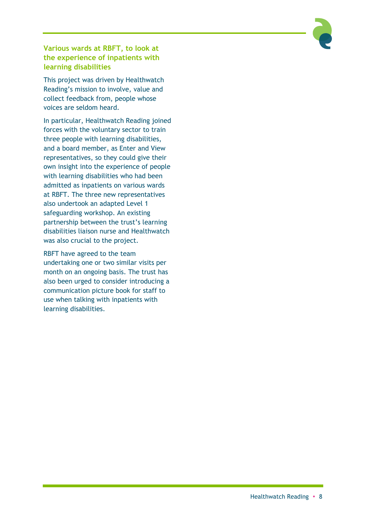

**Various wards at RBFT, to look at the experience of inpatients with learning disabilities**

This project was driven by Healthwatch Reading's mission to involve, value and collect feedback from, people whose voices are seldom heard.

In particular, Healthwatch Reading joined forces with the voluntary sector to train three people with learning disabilities, and a board member, as Enter and View representatives, so they could give their own insight into the experience of people with learning disabilities who had been admitted as inpatients on various wards at RBFT. The three new representatives also undertook an adapted Level 1 safeguarding workshop. An existing partnership between the trust's learning disabilities liaison nurse and Healthwatch was also crucial to the project.

RBFT have agreed to the team undertaking one or two similar visits per month on an ongoing basis. The trust has also been urged to consider introducing a communication picture book for staff to use when talking with inpatients with learning disabilities.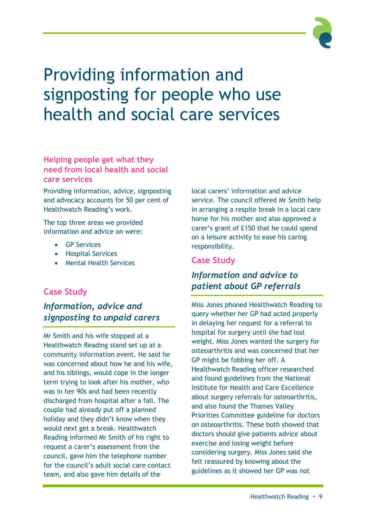

## Providing information and signposting for people who use health and social care services

#### **Helping people get what they need from local health and social care services**

Providing information, advice, signposting and advocacy accounts for 50 per cent of Healthwatch Reading's work.

The top three areas we provided information and advice on were:

- **GP** Services
- **•** Hospital Services
- Mental Health Services

#### **Case Study**

### *Information, advice and signposting to unpaid carers*

Mr Smith and his wife stopped at a Healthwatch Reading stand set up at a community information event. He said he was concerned about how he and his wife, and his siblings, would cope in the longer term trying to look after his mother, who was in her 90s and had been recently discharged from hospital after a fall. The couple had already put off a planned holiday and they didn't know when they would next get a break. Healthwatch Reading informed Mr Smith of his right to request a carer's assessment from the council, gave him the telephone number for the council's adult social care contact team, and also gave him details of the

local carers' information and advice service. The council offered Mr Smith help in arranging a respite break in a local care home for his mother and also approved a carer's grant of £150 that he could spend on a leisure activity to ease his caring responsibility.

#### **Case Study**

### *Information and advice to patient about GP referrals*

Miss Jones phoned Healthwatch Reading to query whether her GP had acted properly in delaying her request for a referral to hospital for surgery until she had lost weight. Miss Jones wanted the surgery for osteoarthritis and was concerned that her GP might be fobbing her off. A Healthwatch Reading officer researched and found guidelines from the National Institute for Health and Care Excellence about surgery referrals for osteoarthritis, and also found the Thames Valley Priorities Committee guideline for doctors on osteoarthritis. These both showed that doctors should give patients advice about exercise and losing weight before considering surgery. Miss Jones said she felt reassured by knowing about the guidelines as it showed her GP was not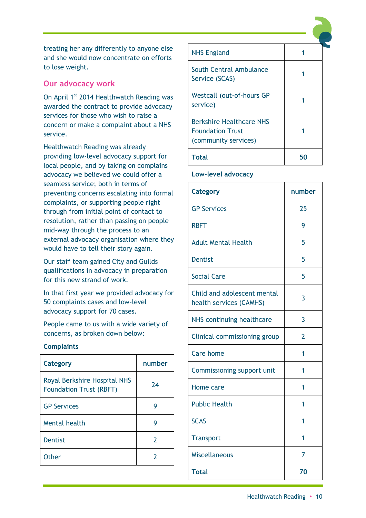treating her any differently to anyone else and she would now concentrate on efforts to lose weight.

#### **Our advocacy work**

On April 1<sup>st</sup> 2014 Healthwatch Reading was awarded the contract to provide advocacy services for those who wish to raise a concern or make a complaint about a NHS service.

Healthwatch Reading was already providing low-level advocacy support for local people, and by taking on complains advocacy we believed we could offer a seamless service; both in terms of preventing concerns escalating into formal complaints, or supporting people right through from initial point of contact to resolution, rather than passing on people mid-way through the process to an external advocacy organisation where they would have to tell their story again.

Our staff team gained City and Guilds qualifications in advocacy in preparation for this new strand of work.

In that first year we provided advocacy for 50 complaints cases and low-level advocacy support for 70 cases.

People came to us with a wide variety of concerns, as broken down below:

#### **Complaints**

| Category                                                              | number |
|-----------------------------------------------------------------------|--------|
| <b>Royal Berkshire Hospital NHS</b><br><b>Foundation Trust (RBFT)</b> | 74     |
| <b>GP Services</b>                                                    | g      |
| Mental health                                                         | g      |
| <b>Dentist</b>                                                        | 2      |
| Other                                                                 |        |

| <b>NHS England</b>                                                                 |    |
|------------------------------------------------------------------------------------|----|
| South Central Ambulance<br>Service (SCAS)                                          |    |
| <b>Westcall (out-of-hours GP</b><br>service)                                       |    |
| <b>Berkshire Healthcare NHS</b><br><b>Foundation Trust</b><br>(community services) |    |
| Total                                                                              | 50 |

#### **Low-level advocacy**

| <b>Category</b>                                        | number         |
|--------------------------------------------------------|----------------|
| <b>GP Services</b>                                     | 25             |
| <b>RBFT</b>                                            | 9              |
| <b>Adult Mental Health</b>                             | 5              |
| <b>Dentist</b>                                         | 5              |
| <b>Social Care</b>                                     | 5              |
| Child and adolescent mental<br>health services (CAMHS) | 3              |
| NHS continuing healthcare                              | 3              |
| Clinical commissioning group                           | $\overline{2}$ |
| <b>Care home</b>                                       | 1              |
| Commissioning support unit                             | 1              |
| Home care                                              | 1              |
| <b>Public Health</b>                                   | 1              |
| <b>SCAS</b>                                            | 1              |
| <b>Transport</b>                                       | 1              |
| <b>Miscellaneous</b>                                   | 7              |
| <b>Total</b>                                           | 70             |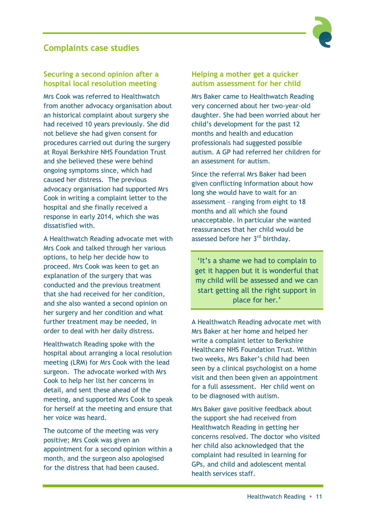#### **Complaints case studies**



#### **Securing a second opinion after a hospital local resolution meeting**

Mrs Cook was referred to Healthwatch from another advocacy organisation about an historical complaint about surgery she had received 10 years previously. She did not believe she had given consent for procedures carried out during the surgery at Royal Berkshire NHS Foundation Trust and she believed these were behind ongoing symptoms since, which had caused her distress. The previous advocacy organisation had supported Mrs Cook in writing a complaint letter to the hospital and she finally received a response in early 2014, which she was dissatisfied with.

A Healthwatch Reading advocate met with Mrs Cook and talked through her various options, to help her decide how to proceed. Mrs Cook was keen to get an explanation of the surgery that was conducted and the previous treatment that she had received for her condition, and she also wanted a second opinion on her surgery and her condition and what further treatment may be needed, in order to deal with her daily distress.

Healthwatch Reading spoke with the hospital about arranging a local resolution meeting (LRM) for Mrs Cook with the lead surgeon. The advocate worked with Mrs Cook to help her list her concerns in detail, and sent these ahead of the meeting, and supported Mrs Cook to speak for herself at the meeting and ensure that her voice was heard.

The outcome of the meeting was very positive; Mrs Cook was given an appointment for a second opinion within a month, and the surgeon also apologised for the distress that had been caused.

#### **Helping a mother get a quicker autism assessment for her child**

Mrs Baker came to Healthwatch Reading very concerned about her two-year-old daughter. She had been worried about her child's development for the past 12 months and health and education professionals had suggested possible autism. A GP had referred her children for an assessment for autism.

Since the referral Mrs Baker had been given conflicting information about how long she would have to wait for an assessment – ranging from eight to 18 months and all which she found unacceptable. In particular she wanted reassurances that her child would be assessed before her 3<sup>rd</sup> birthday.

'It's a shame we had to complain to get it happen but it is wonderful that my child will be assessed and we can start getting all the right support in place for her.'

A Healthwatch Reading advocate met with Mrs Baker at her home and helped her write a complaint letter to Berkshire Healthcare NHS Foundation Trust. Within two weeks, Mrs Baker's child had been seen by a clinical psychologist on a home visit and then been given an appointment for a full assessment. Her child went on to be diagnosed with autism.

Mrs Baker gave positive feedback about the support she had received from Healthwatch Reading in getting her concerns resolved. The doctor who visited her child also acknowledged that the complaint had resulted in learning for GPs, and child and adolescent mental health services staff.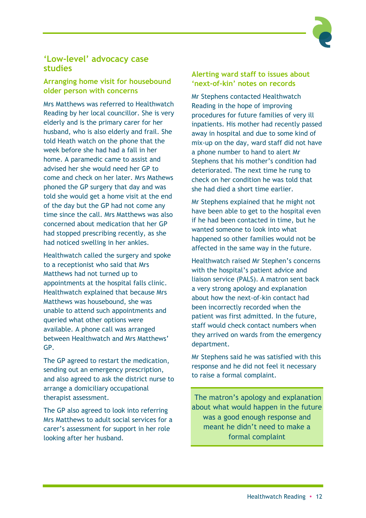

#### **'Low-level' advocacy case studies**

#### **Arranging home visit for housebound older person with concerns**

Mrs Matthews was referred to Healthwatch Reading by her local councillor. She is very elderly and is the primary carer for her husband, who is also elderly and frail. She told Heath watch on the phone that the week before she had had a fall in her home. A paramedic came to assist and advised her she would need her GP to come and check on her later. Mrs Mathews phoned the GP surgery that day and was told she would get a home visit at the end of the day but the GP had not come any time since the call. Mrs Matthews was also concerned about medication that her GP had stopped prescribing recently, as she had noticed swelling in her ankles.

Healthwatch called the surgery and spoke to a receptionist who said that Mrs Matthews had not turned up to appointments at the hospital falls clinic. Healthwatch explained that because Mrs Matthews was housebound, she was unable to attend such appointments and queried what other options were available. A phone call was arranged between Healthwatch and Mrs Matthews' GP.

The GP agreed to restart the medication, sending out an emergency prescription, and also agreed to ask the district nurse to arrange a domiciliary occupational therapist assessment.

The GP also agreed to look into referring Mrs Matthews to adult social services for a carer's assessment for support in her role looking after her husband.

#### **Alerting ward staff to issues about 'next-of-kin' notes on records**

Mr Stephens contacted Healthwatch Reading in the hope of improving procedures for future families of very ill inpatients. His mother had recently passed away in hospital and due to some kind of mix-up on the day, ward staff did not have a phone number to hand to alert Mr Stephens that his mother's condition had deteriorated. The next time he rung to check on her condition he was told that she had died a short time earlier.

Mr Stephens explained that he might not have been able to get to the hospital even if he had been contacted in time, but he wanted someone to look into what happened so other families would not be affected in the same way in the future.

Healthwatch raised Mr Stephen's concerns with the hospital's patient advice and liaison service (PALS). A matron sent back a very strong apology and explanation about how the next-of-kin contact had been incorrectly recorded when the patient was first admitted. In the future, staff would check contact numbers when they arrived on wards from the emergency department.

Mr Stephens said he was satisfied with this response and he did not feel it necessary to raise a formal complaint.

The matron's apology and explanation about what would happen in the future was a good enough response and meant he didn't need to make a formal complaint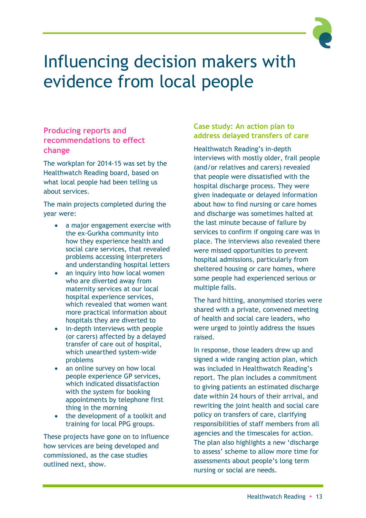

### Influencing decision makers with evidence from local people

#### **Producing reports and recommendations to effect change**

The workplan for 2014-15 was set by the Healthwatch Reading board, based on what local people had been telling us about services.

The main projects completed during the year were:

- a major engagement exercise with the ex-Gurkha community into how they experience health and social care services, that revealed problems accessing interpreters and understanding hospital letters
- an inquiry into how local women who are diverted away from maternity services at our local hospital experience services, which revealed that women want more practical information about hospitals they are diverted to
- in-depth interviews with people (or carers) affected by a delayed transfer of care out of hospital, which unearthed system-wide problems
- an online survey on how local people experience GP services, which indicated dissatisfaction with the system for booking appointments by telephone first thing in the morning
- the development of a toolkit and training for local PPG groups.

These projects have gone on to influence how services are being developed and commissioned, as the case studies outlined next, show.

#### **Case study: An action plan to address delayed transfers of care**

Healthwatch Reading's in-depth interviews with mostly older, frail people (and/or relatives and carers) revealed that people were dissatisfied with the hospital discharge process. They were given inadequate or delayed information about how to find nursing or care homes and discharge was sometimes halted at the last minute because of failure by services to confirm if ongoing care was in place. The interviews also revealed there were missed opportunities to prevent hospital admissions, particularly from sheltered housing or care homes, where some people had experienced serious or multiple falls.

The hard hitting, anonymised stories were shared with a private, convened meeting of health and social care leaders, who were urged to jointly address the issues raised.

In response, those leaders drew up and signed a wide ranging action plan, which was included in Healthwatch Reading's report. The plan includes a commitment to giving patients an estimated discharge date within 24 hours of their arrival, and rewriting the joint health and social care policy on transfers of care, clarifying responsibilities of staff members from all agencies and the timescales for action. The plan also highlights a new 'discharge to assess' scheme to allow more time for assessments about people's long term nursing or social are needs.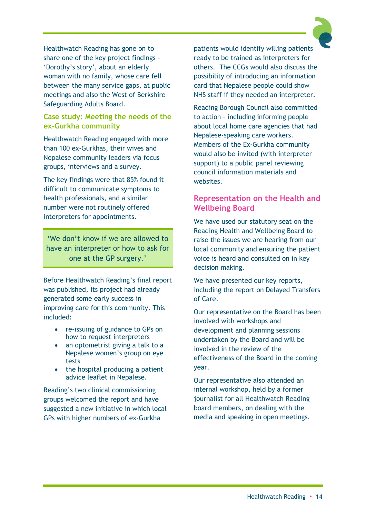Healthwatch Reading has gone on to share one of the key project findings - 'Dorothy's story', about an elderly woman with no family, whose care fell between the many service gaps, at public meetings and also the West of Berkshire Safeguarding Adults Board.

#### **Case study: Meeting the needs of the ex-Gurkha community**

Healthwatch Reading engaged with more than 100 ex-Gurkhas, their wives and Nepalese community leaders via focus groups, interviews and a survey.

The key findings were that 85% found it difficult to communicate symptoms to health professionals, and a similar number were not routinely offered interpreters for appointments.

'We don't know if we are allowed to have an interpreter or how to ask for one at the GP surgery.'

Before Healthwatch Reading's final report was published, its project had already generated some early success in improving care for this community. This included:

- re-issuing of guidance to GPs on how to request interpreters
- an optometrist giving a talk to a Nepalese women's group on eye tests
- $\bullet$  the hospital producing a patient advice leaflet in Nepalese.

Reading's two clinical commissioning groups welcomed the report and have suggested a new initiative in which local GPs with higher numbers of ex-Gurkha

patients would identify willing patients ready to be trained as interpreters for others. The CCGs would also discuss the possibility of introducing an information card that Nepalese people could show NHS staff if they needed an interpreter.

Reading Borough Council also committed to action – including informing people about local home care agencies that had Nepalese-speaking care workers. Members of the Ex-Gurkha community would also be invited (with interpreter support) to a public panel reviewing council information materials and websites.

#### **Representation on the Health and Wellbeing Board**

We have used our statutory seat on the Reading Health and Wellbeing Board to raise the issues we are hearing from our local community and ensuring the patient voice is heard and consulted on in key decision making.

We have presented our key reports, including the report on Delayed Transfers of Care.

Our representative on the Board has been involved with workshops and development and planning sessions undertaken by the Board and will be involved in the review of the effectiveness of the Board in the coming year.

Our representative also attended an internal workshop, held by a former journalist for all Healthwatch Reading board members, on dealing with the media and speaking in open meetings.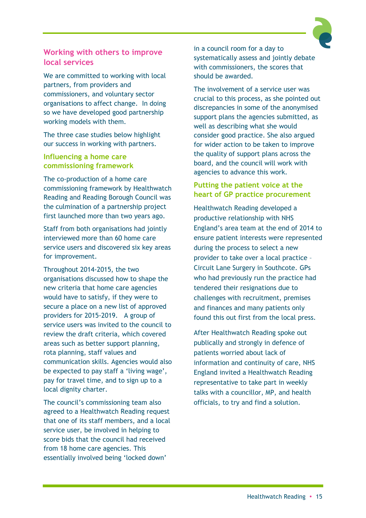

#### **Working with others to improve local services**

We are committed to working with local partners, from providers and commissioners, and voluntary sector organisations to affect change. In doing so we have developed good partnership working models with them.

The three case studies below highlight our success in working with partners.

#### **Influencing a home care commissioning framework**

The co-production of a home care commissioning framework by Healthwatch Reading and Reading Borough Council was the culmination of a partnership project first launched more than two years ago.

Staff from both organisations had jointly interviewed more than 60 home care service users and discovered six key areas for improvement.

Throughout 2014-2015, the two organisations discussed how to shape the new criteria that home care agencies would have to satisfy, if they were to secure a place on a new list of approved providers for 2015-2019. A group of service users was invited to the council to review the draft criteria, which covered areas such as better support planning, rota planning, staff values and communication skills. Agencies would also be expected to pay staff a 'living wage', pay for travel time, and to sign up to a local dignity charter.

The council's commissioning team also agreed to a Healthwatch Reading request that one of its staff members, and a local service user, be involved in helping to score bids that the council had received from 18 home care agencies. This essentially involved being 'locked down'

in a council room for a day to systematically assess and jointly debate with commissioners, the scores that should be awarded.

The involvement of a service user was crucial to this process, as she pointed out discrepancies in some of the anonymised support plans the agencies submitted, as well as describing what she would consider good practice. She also argued for wider action to be taken to improve the quality of support plans across the board, and the council will work with agencies to advance this work.

#### **Putting the patient voice at the heart of GP practice procurement**

Healthwatch Reading developed a productive relationship with NHS England's area team at the end of 2014 to ensure patient interests were represented during the process to select a new provider to take over a local practice – Circuit Lane Surgery in Southcote. GPs who had previously run the practice had tendered their resignations due to challenges with recruitment, premises and finances and many patients only found this out first from the local press.

After Healthwatch Reading spoke out publically and strongly in defence of patients worried about lack of information and continuity of care, NHS England invited a Healthwatch Reading representative to take part in weekly talks with a councillor, MP, and health officials, to try and find a solution.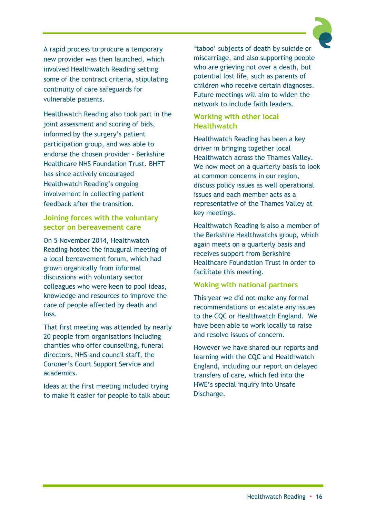A rapid process to procure a temporary new provider was then launched, which involved Healthwatch Reading setting some of the contract criteria, stipulating continuity of care safeguards for vulnerable patients.

Healthwatch Reading also took part in the joint assessment and scoring of bids, informed by the surgery's patient participation group, and was able to endorse the chosen provider – Berkshire Healthcare NHS Foundation Trust. BHFT has since actively encouraged Healthwatch Reading's ongoing involvement in collecting patient feedback after the transition.

#### **Joining forces with the voluntary sector on bereavement care**

On 5 November 2014, Healthwatch Reading hosted the inaugural meeting of a local bereavement forum, which had grown organically from informal discussions with voluntary sector colleagues who were keen to pool ideas, knowledge and resources to improve the care of people affected by death and loss.

That first meeting was attended by nearly 20 people from organisations including charities who offer counselling, funeral directors, NHS and council staff, the Coroner's Court Support Service and academics.

Ideas at the first meeting included trying to make it easier for people to talk about 'taboo' subjects of death by suicide or miscarriage, and also supporting people who are grieving not over a death, but potential lost life, such as parents of children who receive certain diagnoses. Future meetings will aim to widen the network to include faith leaders.

#### **Working with other local Healthwatch**

Healthwatch Reading has been a key driver in bringing together local Healthwatch across the Thames Valley. We now meet on a quarterly basis to look at common concerns in our region, discuss policy issues as well operational issues and each member acts as a representative of the Thames Valley at key meetings.

Healthwatch Reading is also a member of the Berkshire Healthwatchs group, which again meets on a quarterly basis and receives support from Berkshire Healthcare Foundation Trust in order to facilitate this meeting.

#### **Woking with national partners**

This year we did not make any formal recommendations or escalate any issues to the CQC or Healthwatch England. We have been able to work locally to raise and resolve issues of concern.

However we have shared our reports and learning with the CQC and Healthwatch England, including our report on delayed transfers of care, which fed into the HWE's special inquiry into Unsafe Discharge.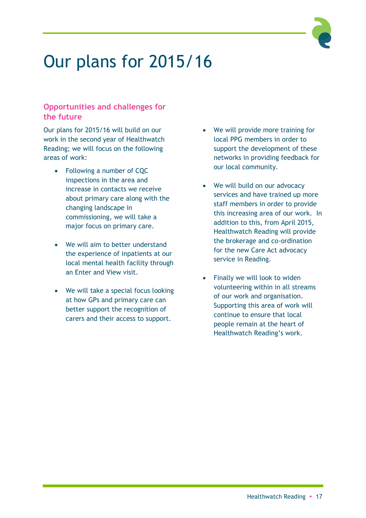## Our plans for 2015/16

#### **Opportunities and challenges for the future**

Our plans for 2015/16 will build on our work in the second year of Healthwatch Reading; we will focus on the following areas of work:

- Following a number of CQC inspections in the area and increase in contacts we receive about primary care along with the changing landscape in commissioning, we will take a major focus on primary care.
- We will aim to better understand the experience of inpatients at our local mental health facility through an Enter and View visit.
- We will take a special focus looking at how GPs and primary care can better support the recognition of carers and their access to support.
- We will provide more training for local PPG members in order to support the development of these networks in providing feedback for our local community.
- We will build on our advocacy services and have trained up more staff members in order to provide this increasing area of our work. In addition to this, from April 2015, Healthwatch Reading will provide the brokerage and co-ordination for the new Care Act advocacy service in Reading.
- Finally we will look to widen volunteering within in all streams of our work and organisation. Supporting this area of work will continue to ensure that local people remain at the heart of Healthwatch Reading's work.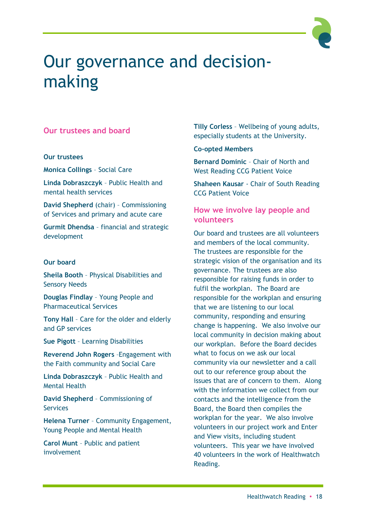### Our governance and decisionmaking

#### **Our trustees and board**

#### **Our trustees**

**Monica Collings** – Social Care

**Linda Dobraszczyk** – Public Health and mental health services

**David Shepherd** (chair) – Commissioning of Services and primary and acute care

**Gurmit Dhendsa** – financial and strategic development

#### **Our board**

**Sheila Booth** – Physical Disabilities and Sensory Needs

**Douglas Findlay** – Young People and Pharmaceutical Services

**Tony Hall** – Care for the older and elderly and GP services

**Sue Pigott** – Learning Disabilities

**Reverend John Rogers** –Engagement with the Faith community and Social Care

**Linda Dobraszczyk** – Public Health and Mental Health

**David Shepherd** – Commissioning of **Services** 

**Helena Turner** – Community Engagement, Young People and Mental Health

**Carol Munt** – Public and patient involvement

**Tilly Corless** – Wellbeing of young adults, especially students at the University.

#### **Co-opted Members**

**Bernard Dominic** – Chair of North and West Reading CCG Patient Voice

**Shaheen Kausar** - Chair of South Reading CCG Patient Voice

#### **How we involve lay people and volunteers**

Our board and trustees are all volunteers and members of the local community. The trustees are responsible for the strategic vision of the organisation and its governance. The trustees are also responsible for raising funds in order to fulfil the workplan. The Board are responsible for the workplan and ensuring that we are listening to our local community, responding and ensuring change is happening. We also involve our local community in decision making about our workplan. Before the Board decides what to focus on we ask our local community via our newsletter and a call out to our reference group about the issues that are of concern to them. Along with the information we collect from our contacts and the intelligence from the Board, the Board then compiles the workplan for the year. We also involve volunteers in our project work and Enter and View visits, including student volunteers. This year we have involved 40 volunteers in the work of Healthwatch Reading.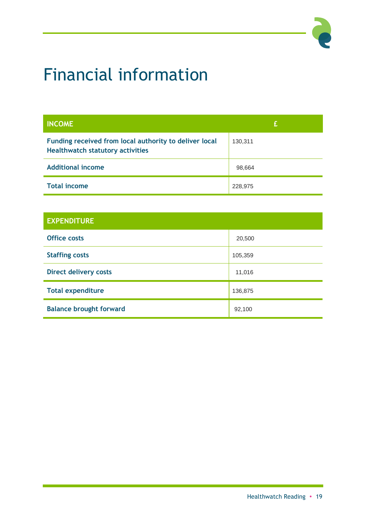# Financial information

| <b>INCOME</b>                                                                                     | £       |
|---------------------------------------------------------------------------------------------------|---------|
| Funding received from local authority to deliver local<br><b>Healthwatch statutory activities</b> | 130,311 |
| <b>Additional income</b>                                                                          | 98,664  |
| <b>Total income</b>                                                                               | 228,975 |

| <b>EXPENDITURE</b>             |         |  |
|--------------------------------|---------|--|
| <b>Office costs</b>            | 20,500  |  |
| <b>Staffing costs</b>          | 105,359 |  |
| <b>Direct delivery costs</b>   | 11,016  |  |
| <b>Total expenditure</b>       | 136,875 |  |
| <b>Balance brought forward</b> | 92,100  |  |

P